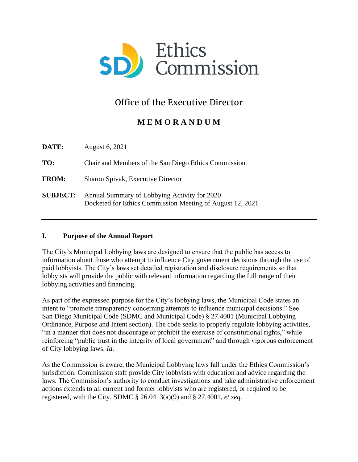

# Office of the Executive Director

# **M E M O R A N D U M**

**DATE:** August 6, 2021 **TO:** Chair and Members of the San Diego Ethics Commission **FROM:** Sharon Spivak, Executive Director **SUBJECT:** Annual Summary of Lobbying Activity for 2020 Docketed for Ethics Commission Meeting of August 12, 2021

# **I. Purpose of the Annual Report**

The City's Municipal Lobbying laws are designed to ensure that the public has access to information about those who attempt to influence City government decisions through the use of paid lobbyists. The City's laws set detailed registration and disclosure requirements so that lobbyists will provide the public with relevant information regarding the full range of their lobbying activities and financing.

As part of the expressed purpose for the City's lobbying laws, the Municipal Code states an intent to "promote transparency concerning attempts to influence municipal decisions." See San Diego Municipal Code (SDMC and Municipal Code) § 27.4001 (Municipal Lobbying Ordinance, Purpose and Intent section). The code seeks to properly regulate lobbying activities, "in a manner that does not discourage or prohibit the exercise of constitutional rights," while reinforcing "public trust in the integrity of local government" and through vigorous enforcement of City lobbying laws. *Id.*

As the Commission is aware, the Municipal Lobbying laws fall under the Ethics Commission's jurisdiction. Commission staff provide City lobbyists with education and advice regarding the laws. The Commission's authority to conduct investigations and take administrative enforcement actions extends to all current and former lobbyists who are registered, or required to be registered, with the City. SDMC § 26.0413(a)(9) and § 27.4001, *et seq*.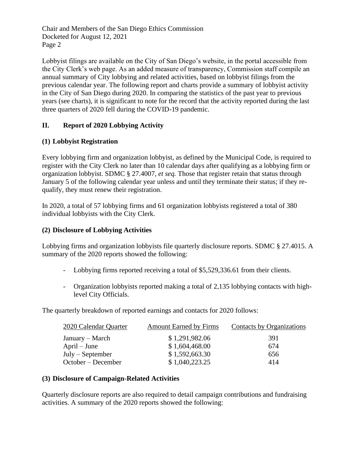Chair and Members of the San Diego Ethics Commission Docketed for August 12, 2021 Page 2

Lobbyist filings are available on the City of San Diego's website, in the portal accessible from the City Clerk's web page. As an added measure of transparency, Commission staff compile an annual summary of City lobbying and related activities, based on lobbyist filings from the previous calendar year. The following report and charts provide a summary of lobbyist activity in the City of San Diego during 2020. In comparing the statistics of the past year to previous years (see charts), it is significant to note for the record that the activity reported during the last three quarters of 2020 fell during the COVID-19 pandemic.

# **II. Report of 2020 Lobbying Activity**

# **(1) Lobbyist Registration**

Every lobbying firm and organization lobbyist, as defined by the Municipal Code, is required to register with the City Clerk no later than 10 calendar days after qualifying as a lobbying firm or organization lobbyist. SDMC § 27.4007, *et seq.* Those that register retain that status through January 5 of the following calendar year unless and until they terminate their status; if they requalify, they must renew their registration.

In 2020, a total of 57 lobbying firms and 61 organization lobbyists registered a total of 380 individual lobbyists with the City Clerk.

#### **(2) Disclosure of Lobbying Activities**

Lobbying firms and organization lobbyists file quarterly disclosure reports. SDMC § 27.4015. A summary of the 2020 reports showed the following:

- Lobbying firms reported receiving a total of \$5,529,336.61 from their clients.
- Organization lobbyists reported making a total of 2,135 lobbying contacts with highlevel City Officials.

The quarterly breakdown of reported earnings and contacts for 2020 follows:

| 2020 Calendar Quarter | <b>Amount Earned by Firms</b> | Contacts by Organizations |
|-----------------------|-------------------------------|---------------------------|
| January – March       | \$1,291,982.06                | 391                       |
| $April - June$        | \$1,604,468.00                | 674                       |
| $July - September$    | \$1,592,663.30                | 656                       |
| October – December    | \$1,040,223.25                | 414                       |

# **(3) Disclosure of Campaign-Related Activities**

Quarterly disclosure reports are also required to detail campaign contributions and fundraising activities. A summary of the 2020 reports showed the following: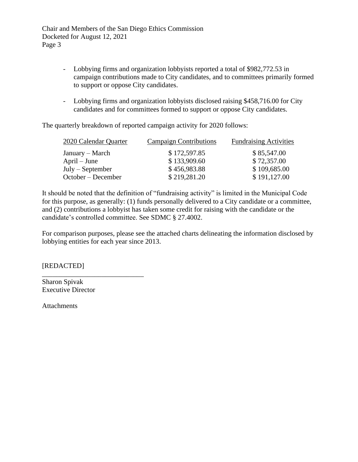Chair and Members of the San Diego Ethics Commission Docketed for August 12, 2021 Page 3

- Lobbying firms and organization lobbyists reported a total of \$982,772.53 in campaign contributions made to City candidates, and to committees primarily formed to support or oppose City candidates.
- Lobbying firms and organization lobbyists disclosed raising \$458,716.00 for City candidates and for committees formed to support or oppose City candidates.

The quarterly breakdown of reported campaign activity for 2020 follows:

| 2020 Calendar Quarter | <b>Campaign Contributions</b> | <b>Fundraising Activities</b> |
|-----------------------|-------------------------------|-------------------------------|
| January – March       | \$172,597.85                  | \$85,547.00                   |
| $April - June$        | \$133,909.60                  | \$72,357.00                   |
| $July - September$    | \$456,983.88                  | \$109,685.00                  |
| October – December    | \$219,281.20                  | \$191,127.00                  |

It should be noted that the definition of "fundraising activity" is limited in the Municipal Code for this purpose, as generally: (1) funds personally delivered to a City candidate or a committee, and (2) contributions a lobbyist has taken some credit for raising with the candidate or the candidate's controlled committee. See SDMC § 27.4002.

For comparison purposes, please see the attached charts delineating the information disclosed by lobbying entities for each year since 2013.

[REDACTED]

Sharon Spivak Executive Director

\_\_\_\_\_\_\_\_\_\_\_\_\_\_\_\_\_\_\_\_\_\_\_\_\_\_\_\_\_

Attachments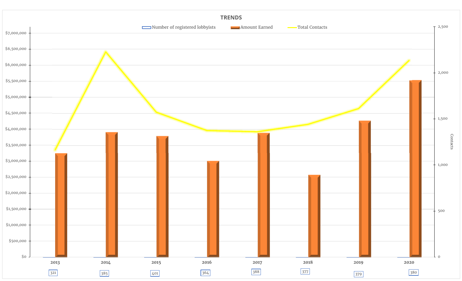